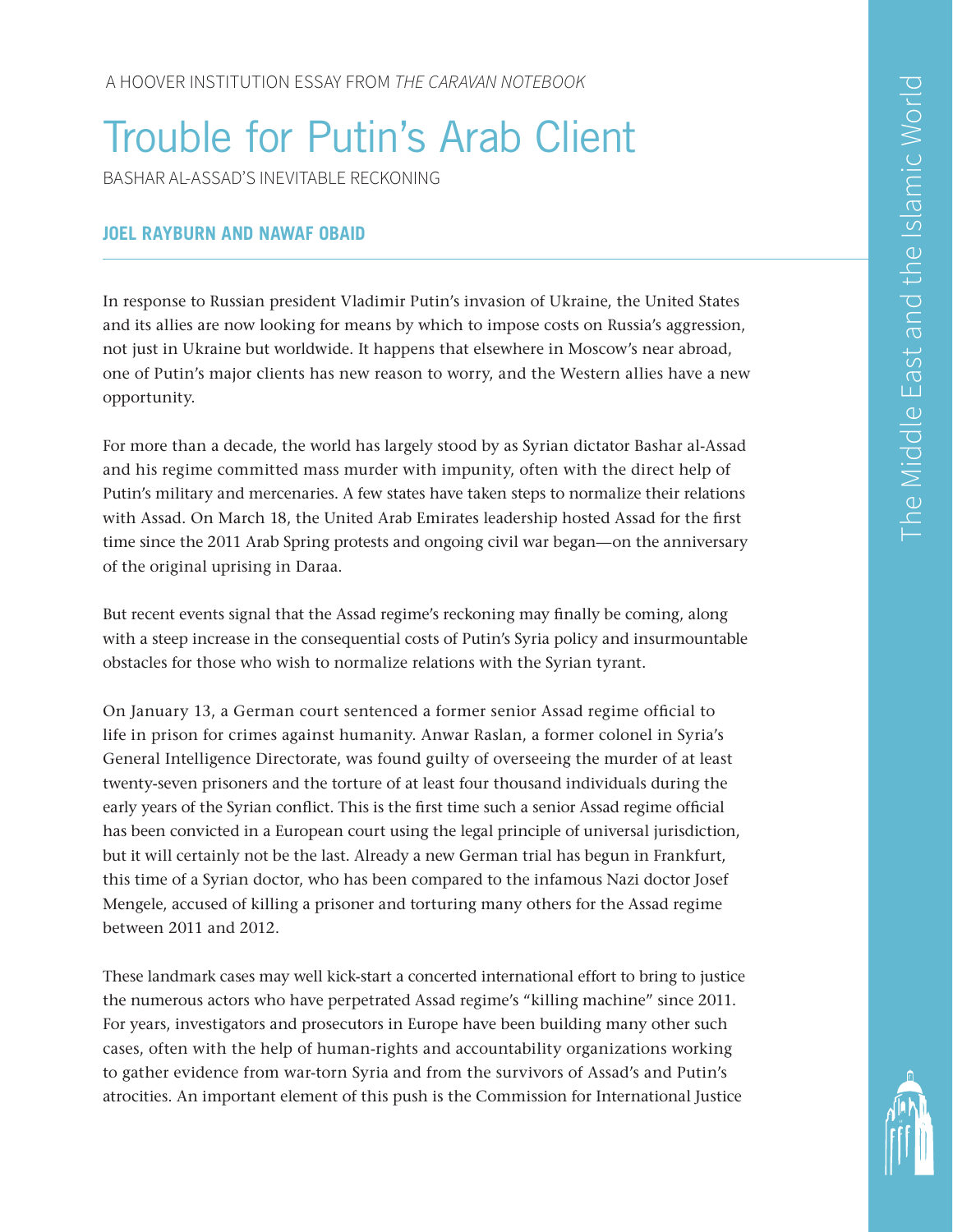# Trouble for Putin's Arab Client

BASHAR AL-ASSAD'S INEVITABLE RECKONING

## **JOEL RAYBURN AND NAWAF OBAID**

In response to Russian president Vladimir Putin's invasion of Ukraine, the United States and its allies are now looking for means by which to impose costs on Russia's aggression, not just in Ukraine but worldwide. It happens that elsewhere in Moscow's near abroad, one of Putin's major clients has new reason to worry, and the Western allies have a new opportunity.

For more than a decade, the world has largely stood by as Syrian dictator Bashar al-Assad and his regime committed mass murder with impunity, often with the direct help of Putin's military and mercenaries. A few states have taken steps to normalize their relations with Assad. On March 18, the United Arab Emirates leadership hosted Assad for the first time since the 2011 Arab Spring protests and ongoing civil war began—on the anniversary of the original uprising in Daraa.

But recent events signal that the Assad regime's reckoning may finally be coming, along with a steep increase in the consequential costs of Putin's Syria policy and insurmountable obstacles for those who wish to normalize relations with the Syrian tyrant.

On January 13, a German court sentenced a former senior Assad regime official to life in prison for crimes against humanity. Anwar Raslan, a former colonel in Syria's General Intelligence Directorate, was found guilty of overseeing the murder of at least twenty-seven prisoners and the torture of at least four thousand individuals during the early years of the Syrian conflict. This is the first time such a senior Assad regime official has been convicted in a European court using the legal principle of universal jurisdiction, but it will certainly not be the last. Already a new German trial has begun in Frankfurt, this time of a Syrian doctor, who has been compared to the infamous Nazi doctor Josef Mengele, accused of killing a prisoner and torturing many others for the Assad regime between 2011 and 2012.

These landmark cases may well kick-start a concerted international effort to bring to justice the numerous actors who have perpetrated Assad regime's "killing machine" since 2011. For years, investigators and prosecutors in Europe have been building many other such cases, often with the help of human-rights and accountability organizations working to gather evidence from war-torn Syria and from the survivors of Assad's and Putin's atrocities. An important element of this push is the Commission for International Justice

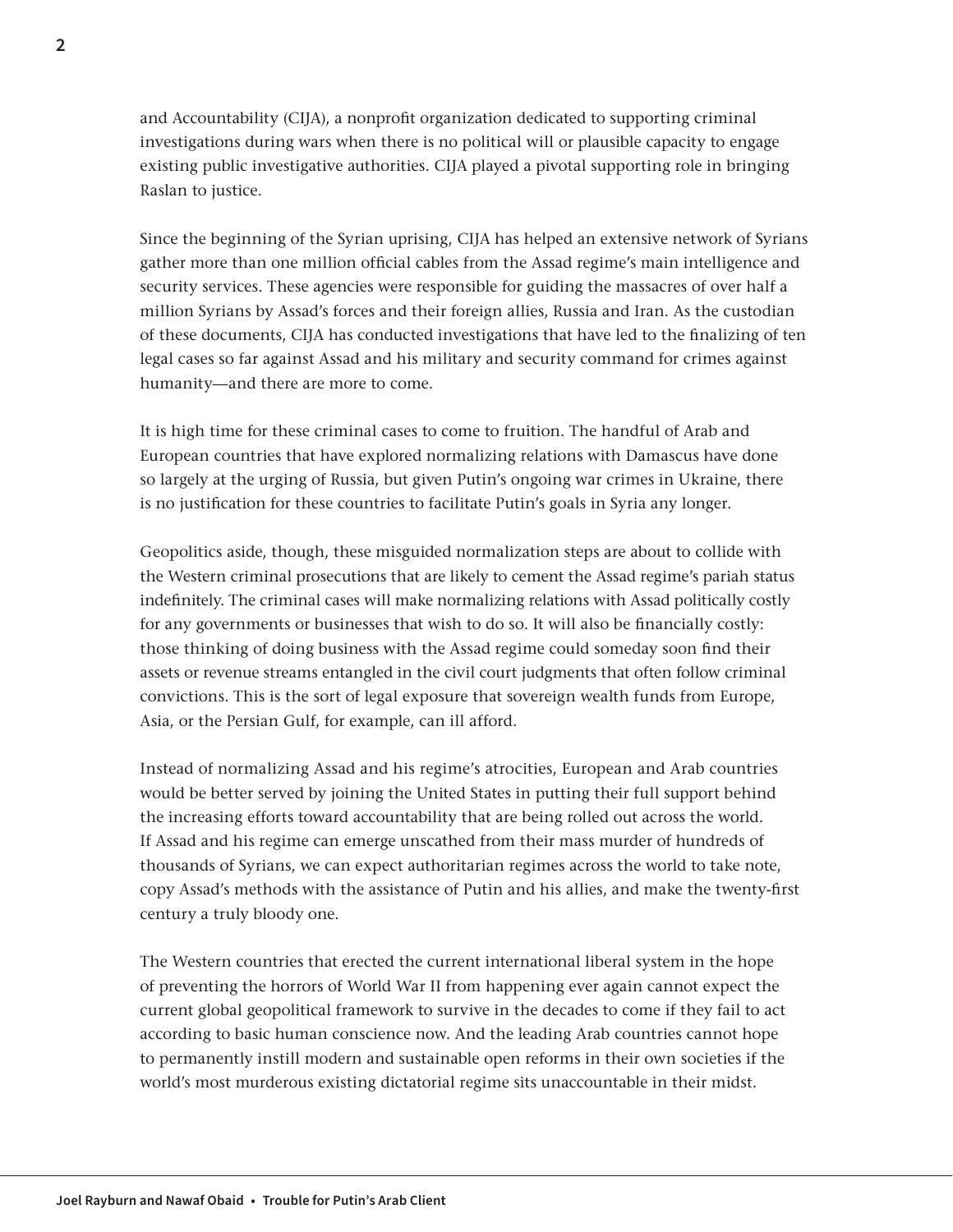and Accountability (CIJA), a nonprofit organization dedicated to supporting criminal investigations during wars when there is no political will or plausible capacity to engage existing public investigative authorities. CIJA played a pivotal supporting role in bringing Raslan to justice.

Since the beginning of the Syrian uprising, CIJA has helped an extensive network of Syrians gather more than one million official cables from the Assad regime's main intelligence and security services. These agencies were responsible for guiding the massacres of over half a million Syrians by Assad's forces and their foreign allies, Russia and Iran. As the custodian of these documents, CIJA has conducted investigations that have led to the finalizing of ten legal cases so far against Assad and his military and security command for crimes against humanity—and there are more to come.

It is high time for these criminal cases to come to fruition. The handful of Arab and European countries that have explored normalizing relations with Damascus have done so largely at the urging of Russia, but given Putin's ongoing war crimes in Ukraine, there is no justification for these countries to facilitate Putin's goals in Syria any longer.

Geopolitics aside, though, these misguided normalization steps are about to collide with the Western criminal prosecutions that are likely to cement the Assad regime's pariah status indefinitely. The criminal cases will make normalizing relations with Assad politically costly for any governments or businesses that wish to do so. It will also be financially costly: those thinking of doing business with the Assad regime could someday soon find their assets or revenue streams entangled in the civil court judgments that often follow criminal convictions. This is the sort of legal exposure that sovereign wealth funds from Europe, Asia, or the Persian Gulf, for example, can ill afford.

Instead of normalizing Assad and his regime's atrocities, European and Arab countries would be better served by joining the United States in putting their full support behind the increasing efforts toward accountability that are being rolled out across the world. If Assad and his regime can emerge unscathed from their mass murder of hundreds of thousands of Syrians, we can expect authoritarian regimes across the world to take note, copy Assad's methods with the assistance of Putin and his allies, and make the twenty-first century a truly bloody one.

The Western countries that erected the current international liberal system in the hope of preventing the horrors of World War II from happening ever again cannot expect the current global geopolitical framework to survive in the decades to come if they fail to act according to basic human conscience now. And the leading Arab countries cannot hope to permanently instill modern and sustainable open reforms in their own societies if the world's most murderous existing dictatorial regime sits unaccountable in their midst.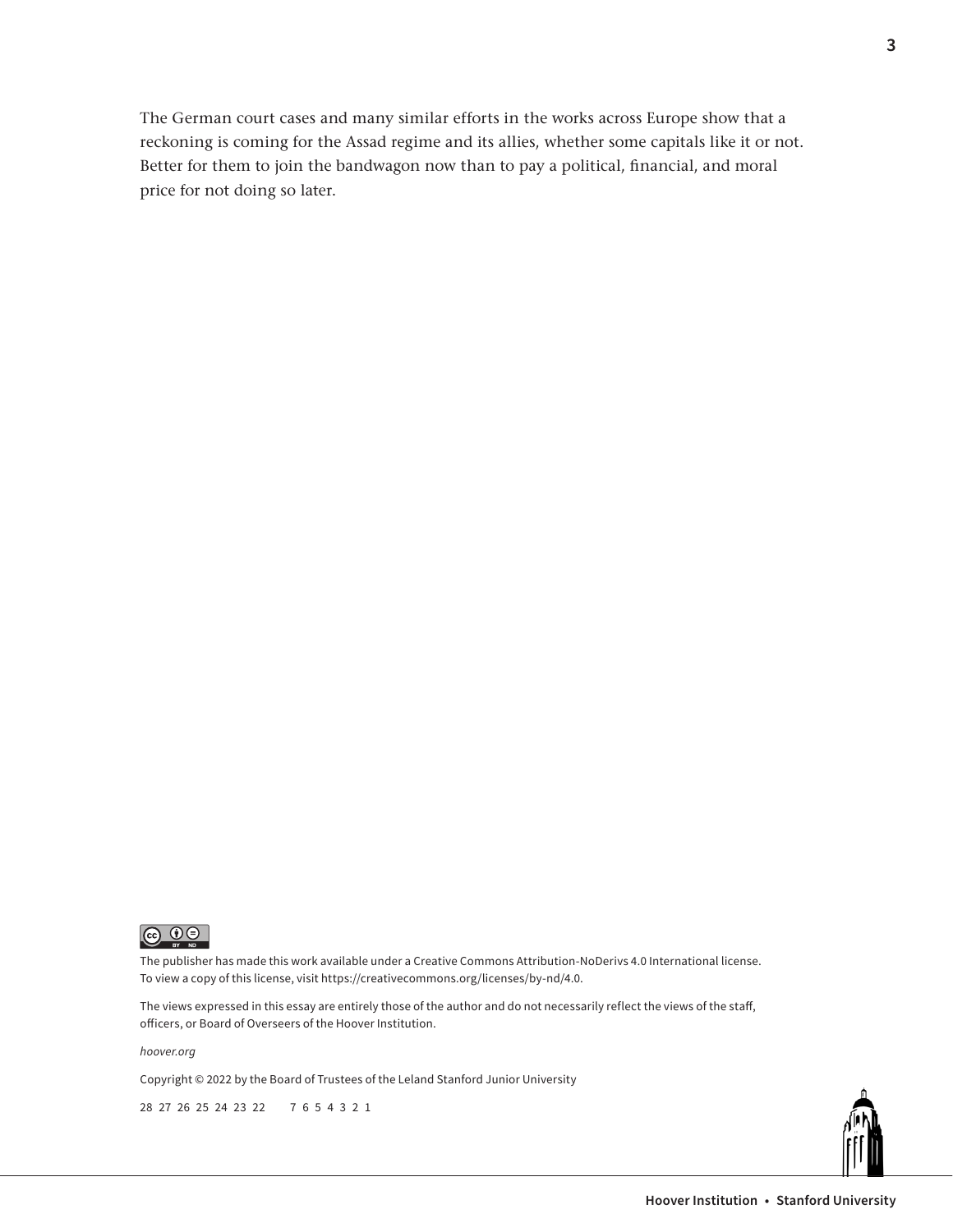The German court cases and many similar efforts in the works across Europe show that a reckoning is coming for the Assad regime and its allies, whether some capitals like it or not. Better for them to join the bandwagon now than to pay a political, financial, and moral price for not doing so later.



The publisher has made this work available under a Creative Commons Attribution-NoDerivs 4.0 International license. To view a copy of this license, visit [https://creativecommons.org/licenses/by-nd/4.0.](https://creativecommons.org/licenses/by-nd/4.0)

The views expressed in this essay are entirely those of the author and do not necessarily reflect the views of the staff, officers, or Board of Overseers of the Hoover Institution.

*[hoover.org](https://www.hoover.org/)*

Copyright © 2022 by the Board of Trustees of the Leland Stanford Junior University

28 27 26 25 24 23 22 7 6 5 4 3 2 1